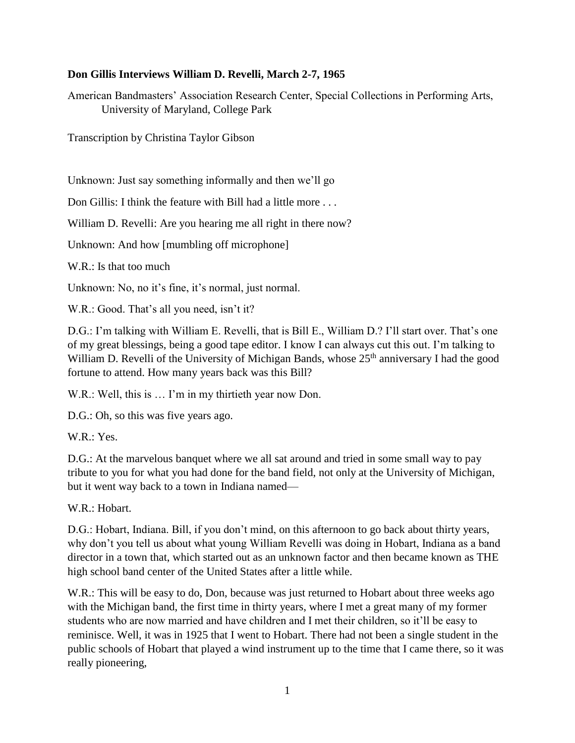### **Don Gillis Interviews William D. Revelli, March 2-7, 1965**

American Bandmasters' Association Research Center, Special Collections in Performing Arts, University of Maryland, College Park

Transcription by Christina Taylor Gibson

Unknown: Just say something informally and then we'll go

Don Gillis: I think the feature with Bill had a little more . . .

William D. Revelli: Are you hearing me all right in there now?

Unknown: And how [mumbling off microphone]

W.R.: Is that too much

Unknown: No, no it's fine, it's normal, just normal.

W.R.: Good. That's all you need, isn't it?

D.G.: I'm talking with William E. Revelli, that is Bill E., William D.? I'll start over. That's one of my great blessings, being a good tape editor. I know I can always cut this out. I'm talking to William D. Revelli of the University of Michigan Bands, whose 25<sup>th</sup> anniversary I had the good fortune to attend. How many years back was this Bill?

W.R.: Well, this is … I'm in my thirtieth year now Don.

D.G.: Oh, so this was five years ago.

 $W.R. : Yes.$ 

D.G.: At the marvelous banquet where we all sat around and tried in some small way to pay tribute to you for what you had done for the band field, not only at the University of Michigan, but it went way back to a town in Indiana named—

W.R.: Hobart.

D.G.: Hobart, Indiana. Bill, if you don't mind, on this afternoon to go back about thirty years, why don't you tell us about what young William Revelli was doing in Hobart, Indiana as a band director in a town that, which started out as an unknown factor and then became known as THE high school band center of the United States after a little while.

W.R.: This will be easy to do, Don, because was just returned to Hobart about three weeks ago with the Michigan band, the first time in thirty years, where I met a great many of my former students who are now married and have children and I met their children, so it'll be easy to reminisce. Well, it was in 1925 that I went to Hobart. There had not been a single student in the public schools of Hobart that played a wind instrument up to the time that I came there, so it was really pioneering,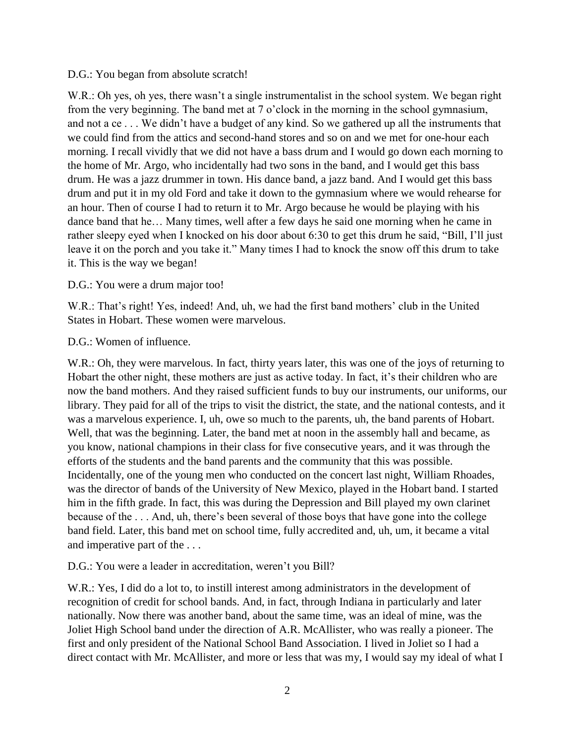#### D.G.: You began from absolute scratch!

W.R.: Oh yes, oh yes, there wasn't a single instrumentalist in the school system. We began right from the very beginning. The band met at 7 o'clock in the morning in the school gymnasium, and not a ce . . . We didn't have a budget of any kind. So we gathered up all the instruments that we could find from the attics and second-hand stores and so on and we met for one-hour each morning. I recall vividly that we did not have a bass drum and I would go down each morning to the home of Mr. Argo, who incidentally had two sons in the band, and I would get this bass drum. He was a jazz drummer in town. His dance band, a jazz band. And I would get this bass drum and put it in my old Ford and take it down to the gymnasium where we would rehearse for an hour. Then of course I had to return it to Mr. Argo because he would be playing with his dance band that he… Many times, well after a few days he said one morning when he came in rather sleepy eyed when I knocked on his door about 6:30 to get this drum he said, "Bill, I'll just leave it on the porch and you take it." Many times I had to knock the snow off this drum to take it. This is the way we began!

### D.G.: You were a drum major too!

W.R.: That's right! Yes, indeed! And, uh, we had the first band mothers' club in the United States in Hobart. These women were marvelous.

### D.G.: Women of influence.

W.R.: Oh, they were marvelous. In fact, thirty years later, this was one of the joys of returning to Hobart the other night, these mothers are just as active today. In fact, it's their children who are now the band mothers. And they raised sufficient funds to buy our instruments, our uniforms, our library. They paid for all of the trips to visit the district, the state, and the national contests, and it was a marvelous experience. I, uh, owe so much to the parents, uh, the band parents of Hobart. Well, that was the beginning. Later, the band met at noon in the assembly hall and became, as you know, national champions in their class for five consecutive years, and it was through the efforts of the students and the band parents and the community that this was possible. Incidentally, one of the young men who conducted on the concert last night, William Rhoades, was the director of bands of the University of New Mexico, played in the Hobart band. I started him in the fifth grade. In fact, this was during the Depression and Bill played my own clarinet because of the . . . And, uh, there's been several of those boys that have gone into the college band field. Later, this band met on school time, fully accredited and, uh, um, it became a vital and imperative part of the . . .

## D.G.: You were a leader in accreditation, weren't you Bill?

W.R.: Yes, I did do a lot to, to instill interest among administrators in the development of recognition of credit for school bands. And, in fact, through Indiana in particularly and later nationally. Now there was another band, about the same time, was an ideal of mine, was the Joliet High School band under the direction of A.R. McAllister, who was really a pioneer. The first and only president of the National School Band Association. I lived in Joliet so I had a direct contact with Mr. McAllister, and more or less that was my, I would say my ideal of what I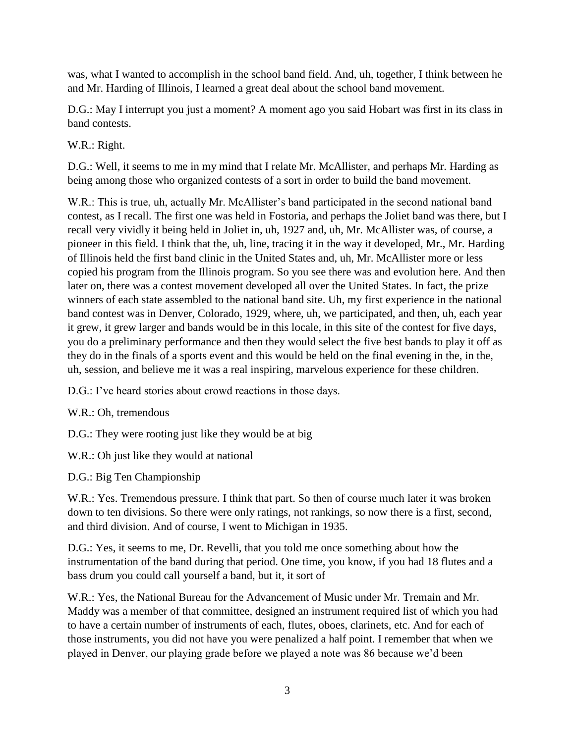was, what I wanted to accomplish in the school band field. And, uh, together, I think between he and Mr. Harding of Illinois, I learned a great deal about the school band movement.

D.G.: May I interrupt you just a moment? A moment ago you said Hobart was first in its class in band contests.

W.R.: Right.

D.G.: Well, it seems to me in my mind that I relate Mr. McAllister, and perhaps Mr. Harding as being among those who organized contests of a sort in order to build the band movement.

W.R.: This is true, uh, actually Mr. McAllister's band participated in the second national band contest, as I recall. The first one was held in Fostoria, and perhaps the Joliet band was there, but I recall very vividly it being held in Joliet in, uh, 1927 and, uh, Mr. McAllister was, of course, a pioneer in this field. I think that the, uh, line, tracing it in the way it developed, Mr., Mr. Harding of Illinois held the first band clinic in the United States and, uh, Mr. McAllister more or less copied his program from the Illinois program. So you see there was and evolution here. And then later on, there was a contest movement developed all over the United States. In fact, the prize winners of each state assembled to the national band site. Uh, my first experience in the national band contest was in Denver, Colorado, 1929, where, uh, we participated, and then, uh, each year it grew, it grew larger and bands would be in this locale, in this site of the contest for five days, you do a preliminary performance and then they would select the five best bands to play it off as they do in the finals of a sports event and this would be held on the final evening in the, in the, uh, session, and believe me it was a real inspiring, marvelous experience for these children.

D.G.: I've heard stories about crowd reactions in those days.

W.R.: Oh, tremendous

D.G.: They were rooting just like they would be at big

W.R.: Oh just like they would at national

D.G.: Big Ten Championship

W.R.: Yes. Tremendous pressure. I think that part. So then of course much later it was broken down to ten divisions. So there were only ratings, not rankings, so now there is a first, second, and third division. And of course, I went to Michigan in 1935.

D.G.: Yes, it seems to me, Dr. Revelli, that you told me once something about how the instrumentation of the band during that period. One time, you know, if you had 18 flutes and a bass drum you could call yourself a band, but it, it sort of

W.R.: Yes, the National Bureau for the Advancement of Music under Mr. Tremain and Mr. Maddy was a member of that committee, designed an instrument required list of which you had to have a certain number of instruments of each, flutes, oboes, clarinets, etc. And for each of those instruments, you did not have you were penalized a half point. I remember that when we played in Denver, our playing grade before we played a note was 86 because we'd been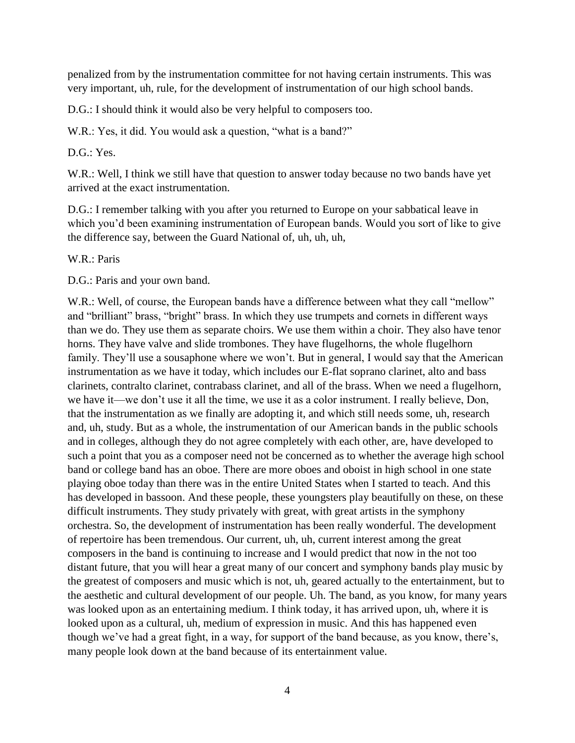penalized from by the instrumentation committee for not having certain instruments. This was very important, uh, rule, for the development of instrumentation of our high school bands.

D.G.: I should think it would also be very helpful to composers too.

W.R.: Yes, it did. You would ask a question, "what is a band?"

D.G.: Yes.

W.R.: Well, I think we still have that question to answer today because no two bands have yet arrived at the exact instrumentation.

D.G.: I remember talking with you after you returned to Europe on your sabbatical leave in which you'd been examining instrumentation of European bands. Would you sort of like to give the difference say, between the Guard National of, uh, uh, uh,

W.R.: Paris

D.G.: Paris and your own band.

W.R.: Well, of course, the European bands have a difference between what they call "mellow" and "brilliant" brass, "bright" brass. In which they use trumpets and cornets in different ways than we do. They use them as separate choirs. We use them within a choir. They also have tenor horns. They have valve and slide trombones. They have flugelhorns, the whole flugelhorn family. They'll use a sousaphone where we won't. But in general, I would say that the American instrumentation as we have it today, which includes our E-flat soprano clarinet, alto and bass clarinets, contralto clarinet, contrabass clarinet, and all of the brass. When we need a flugelhorn, we have it—we don't use it all the time, we use it as a color instrument. I really believe, Don, that the instrumentation as we finally are adopting it, and which still needs some, uh, research and, uh, study. But as a whole, the instrumentation of our American bands in the public schools and in colleges, although they do not agree completely with each other, are, have developed to such a point that you as a composer need not be concerned as to whether the average high school band or college band has an oboe. There are more oboes and oboist in high school in one state playing oboe today than there was in the entire United States when I started to teach. And this has developed in bassoon. And these people, these youngsters play beautifully on these, on these difficult instruments. They study privately with great, with great artists in the symphony orchestra. So, the development of instrumentation has been really wonderful. The development of repertoire has been tremendous. Our current, uh, uh, current interest among the great composers in the band is continuing to increase and I would predict that now in the not too distant future, that you will hear a great many of our concert and symphony bands play music by the greatest of composers and music which is not, uh, geared actually to the entertainment, but to the aesthetic and cultural development of our people. Uh. The band, as you know, for many years was looked upon as an entertaining medium. I think today, it has arrived upon, uh, where it is looked upon as a cultural, uh, medium of expression in music. And this has happened even though we've had a great fight, in a way, for support of the band because, as you know, there's, many people look down at the band because of its entertainment value.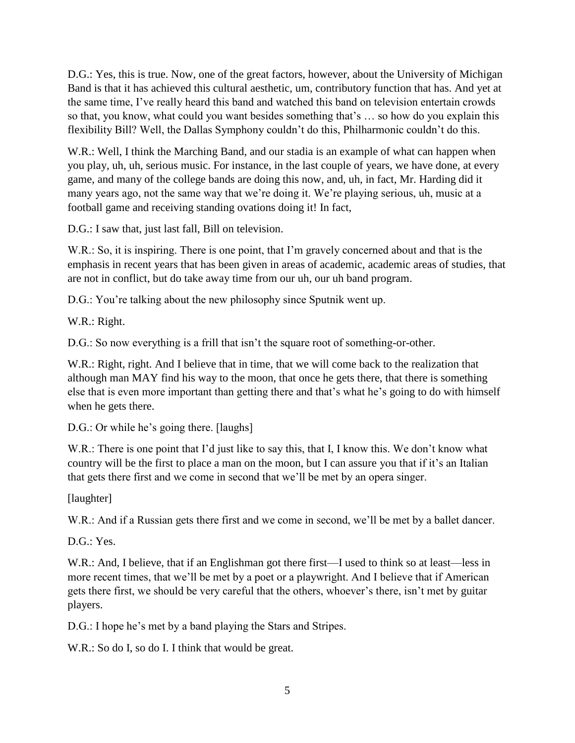D.G.: Yes, this is true. Now, one of the great factors, however, about the University of Michigan Band is that it has achieved this cultural aesthetic, um, contributory function that has. And yet at the same time, I've really heard this band and watched this band on television entertain crowds so that, you know, what could you want besides something that's … so how do you explain this flexibility Bill? Well, the Dallas Symphony couldn't do this, Philharmonic couldn't do this.

W.R.: Well, I think the Marching Band, and our stadia is an example of what can happen when you play, uh, uh, serious music. For instance, in the last couple of years, we have done, at every game, and many of the college bands are doing this now, and, uh, in fact, Mr. Harding did it many years ago, not the same way that we're doing it. We're playing serious, uh, music at a football game and receiving standing ovations doing it! In fact,

D.G.: I saw that, just last fall, Bill on television.

W.R.: So, it is inspiring. There is one point, that I'm gravely concerned about and that is the emphasis in recent years that has been given in areas of academic, academic areas of studies, that are not in conflict, but do take away time from our uh, our uh band program.

D.G.: You're talking about the new philosophy since Sputnik went up.

W.R.: Right.

D.G.: So now everything is a frill that isn't the square root of something-or-other.

W.R.: Right, right. And I believe that in time, that we will come back to the realization that although man MAY find his way to the moon, that once he gets there, that there is something else that is even more important than getting there and that's what he's going to do with himself when he gets there.

D.G.: Or while he's going there. [laughs]

W.R.: There is one point that I'd just like to say this, that I, I know this. We don't know what country will be the first to place a man on the moon, but I can assure you that if it's an Italian that gets there first and we come in second that we'll be met by an opera singer.

[laughter]

W.R.: And if a Russian gets there first and we come in second, we'll be met by a ballet dancer.

D.G.: Yes.

W.R.: And, I believe, that if an Englishman got there first—I used to think so at least—less in more recent times, that we'll be met by a poet or a playwright. And I believe that if American gets there first, we should be very careful that the others, whoever's there, isn't met by guitar players.

D.G.: I hope he's met by a band playing the Stars and Stripes.

W.R.: So do I, so do I. I think that would be great.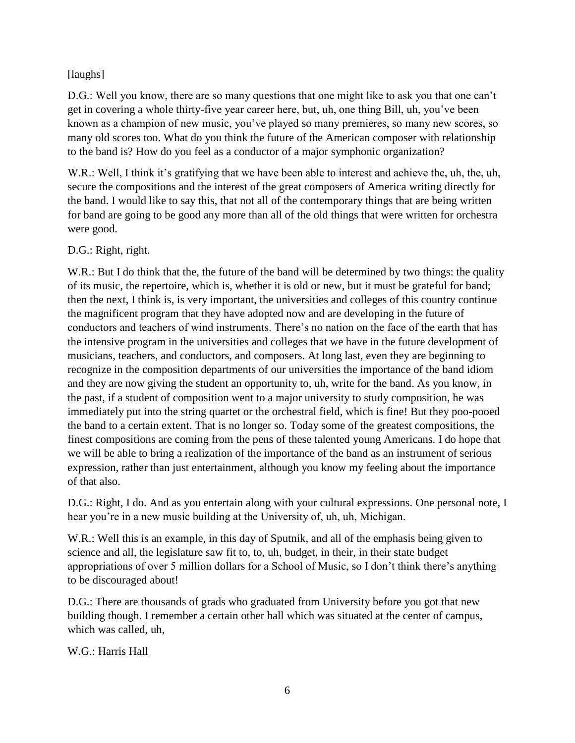## [laughs]

D.G.: Well you know, there are so many questions that one might like to ask you that one can't get in covering a whole thirty-five year career here, but, uh, one thing Bill, uh, you've been known as a champion of new music, you've played so many premieres, so many new scores, so many old scores too. What do you think the future of the American composer with relationship to the band is? How do you feel as a conductor of a major symphonic organization?

W.R.: Well, I think it's gratifying that we have been able to interest and achieve the, uh, the, uh, secure the compositions and the interest of the great composers of America writing directly for the band. I would like to say this, that not all of the contemporary things that are being written for band are going to be good any more than all of the old things that were written for orchestra were good.

## D.G.: Right, right.

W.R.: But I do think that the, the future of the band will be determined by two things: the quality of its music, the repertoire, which is, whether it is old or new, but it must be grateful for band; then the next, I think is, is very important, the universities and colleges of this country continue the magnificent program that they have adopted now and are developing in the future of conductors and teachers of wind instruments. There's no nation on the face of the earth that has the intensive program in the universities and colleges that we have in the future development of musicians, teachers, and conductors, and composers. At long last, even they are beginning to recognize in the composition departments of our universities the importance of the band idiom and they are now giving the student an opportunity to, uh, write for the band. As you know, in the past, if a student of composition went to a major university to study composition, he was immediately put into the string quartet or the orchestral field, which is fine! But they poo-pooed the band to a certain extent. That is no longer so. Today some of the greatest compositions, the finest compositions are coming from the pens of these talented young Americans. I do hope that we will be able to bring a realization of the importance of the band as an instrument of serious expression, rather than just entertainment, although you know my feeling about the importance of that also.

D.G.: Right, I do. And as you entertain along with your cultural expressions. One personal note, I hear you're in a new music building at the University of, uh, uh, Michigan.

W.R.: Well this is an example, in this day of Sputnik, and all of the emphasis being given to science and all, the legislature saw fit to, to, uh, budget, in their, in their state budget appropriations of over 5 million dollars for a School of Music, so I don't think there's anything to be discouraged about!

D.G.: There are thousands of grads who graduated from University before you got that new building though. I remember a certain other hall which was situated at the center of campus, which was called, uh,

## W.G.: Harris Hall